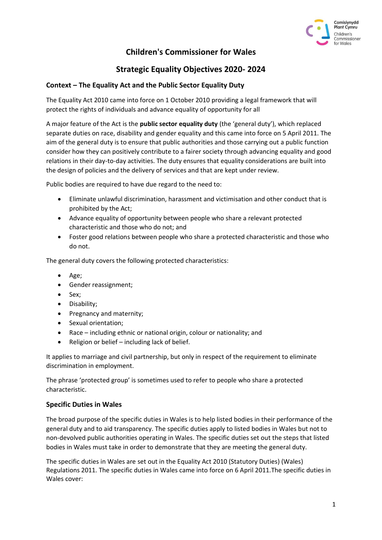

# **Children's Commissioner for Wales**

## **Strategic Equality Objectives 2020- 2024**

## **Context – The Equality Act and the Public Sector Equality Duty**

The Equality Act 2010 came into force on 1 October 2010 providing a legal framework that will protect the rights of individuals and advance equality of opportunity for all

A major feature of the Act is the **public sector equality duty** (the 'general duty'), which replaced separate duties on race, disability and gender equality and this came into force on 5 April 2011. The aim of the general duty is to ensure that public authorities and those carrying out a public function consider how they can positively contribute to a fairer society through advancing equality and good relations in their day-to-day activities. The duty ensures that equality considerations are built into the design of policies and the delivery of services and that are kept under review.

Public bodies are required to have due regard to the need to:

- Eliminate unlawful discrimination, harassment and victimisation and other conduct that is prohibited by the Act;
- Advance equality of opportunity between people who share a relevant protected characteristic and those who do not; and
- Foster good relations between people who share a protected characteristic and those who do not.

The general duty covers the following protected characteristics:

- Age;
- Gender reassignment;
- Sex;
- Disability;
- Pregnancy and maternity;
- Sexual orientation;
- Race including ethnic or national origin, colour or nationality; and
- Religion or belief including lack of belief.

It applies to marriage and civil partnership, but only in respect of the requirement to eliminate discrimination in employment.

The phrase 'protected group' is sometimes used to refer to people who share a protected characteristic.

#### **Specific Duties in Wales**

The broad purpose of the specific duties in Wales is to help listed bodies in their performance of the general duty and to aid transparency. The specific duties apply to listed bodies in Wales but not to non-devolved public authorities operating in Wales. The specific duties set out the steps that listed bodies in Wales must take in order to demonstrate that they are meeting the general duty.

The specific duties in Wales are set out in the Equality Act 2010 (Statutory Duties) (Wales) Regulations 2011. The specific duties in Wales came into force on 6 April 2011.The specific duties in Wales cover: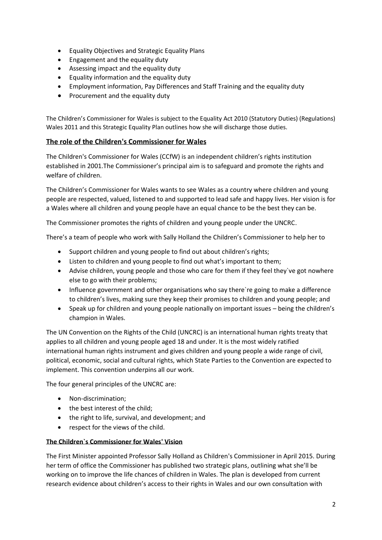- Equality Objectives and Strategic Equality Plans
- Engagement and the equality duty
- Assessing impact and the equality duty
- Equality information and the equality duty
- Employment information, Pay Differences and Staff Training and the equality duty
- Procurement and the equality duty

The Children's Commissioner for Wales is subject to the Equality Act 2010 (Statutory Duties) (Regulations) Wales 2011 and this Strategic Equality Plan outlines how she will discharge those duties.

## **The role of the Children's Commissioner for Wales**

The Children's Commissioner for Wales (CCfW) is an independent children's rights institution established in 2001.The Commissioner's principal aim is to safeguard and promote the rights and welfare of children.

The Children's Commissioner for Wales wants to see Wales as a country where children and young people are respected, valued, listened to and supported to lead safe and happy lives. Her vision is for a Wales where all children and young people have an equal chance to be the best they can be.

The Commissioner promotes the rights of children and young people under the UNCRC.

There's a team of people who work with Sally Holland the Children's Commissioner to help her to

- Support children and young people to find out about children's rights;
- Listen to children and young people to find out what's important to them;
- Advise children, young people and those who care for them if they feel they`ve got nowhere else to go with their problems;
- Influence government and other organisations who say there`re going to make a difference to children's lives, making sure they keep their promises to children and young people; and
- Speak up for children and young people nationally on important issues being the children's champion in Wales.

The UN Convention on the Rights of the Child (UNCRC) is an international human rights treaty that applies to all children and young people aged 18 and under. It is the most widely ratified international human rights instrument and gives children and young people a wide range of civil, political, economic, social and cultural rights, which State Parties to the Convention are expected to implement. This convention underpins all our work.

The four general principles of the UNCRC are:

- Non-discrimination;
- the best interest of the child;
- the right to life, survival, and development; and
- respect for the views of the child.

#### **The Children`s Commissioner for Wales' Vision**

The First Minister appointed Professor Sally Holland as Children's Commissioner in April 2015. During her term of office the Commissioner has published two strategic plans, outlining what she'll be working on to improve the life chances of children in Wales. The plan is developed from current research evidence about children's access to their rights in Wales and our own consultation with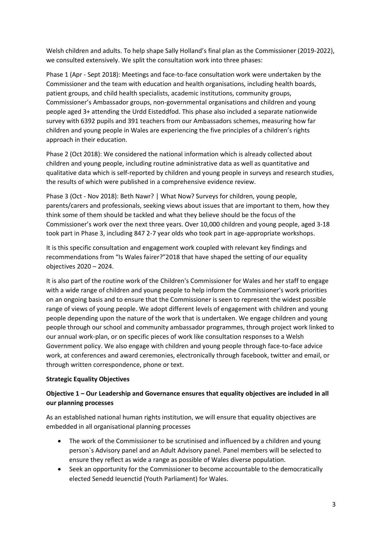Welsh children and adults. To help shape Sally Holland's final plan as the Commissioner (2019-2022), we consulted extensively. We split the consultation work into three phases:

Phase 1 (Apr - Sept 2018): Meetings and face-to-face consultation work were undertaken by the Commissioner and the team with education and health organisations, including health boards, patient groups, and child health specialists, academic institutions, community groups, Commissioner's Ambassador groups, non-governmental organisations and children and young people aged 3+ attending the Urdd Eisteddfod. This phase also included a separate nationwide survey with 6392 pupils and 391 teachers from our Ambassadors schemes, measuring how far children and young people in Wales are experiencing the five principles of a children's rights approach in their education.

Phase 2 (Oct 2018): We considered the national information which is already collected about children and young people, including routine administrative data as well as quantitative and qualitative data which is self-reported by children and young people in surveys and research studies, the results of which were published in a comprehensive evidence review.

Phase 3 (Oct - Nov 2018): Beth Nawr? | What Now? Surveys for children, young people, parents/carers and professionals, seeking views about issues that are important to them, how they think some of them should be tackled and what they believe should be the focus of the Commissioner's work over the next three years. Over 10,000 children and young people, aged 3-18 took part in Phase 3, including 847 2-7 year olds who took part in age-appropriate workshops.

It is this specific consultation and engagement work coupled with relevant key findings and recommendations from "Is Wales fairer?"2018 that have shaped the setting of our equality objectives 2020 – 2024.

It is also part of the routine work of the Children's Commissioner for Wales and her staff to engage with a wide range of children and young people to help inform the Commissioner's work priorities on an ongoing basis and to ensure that the Commissioner is seen to represent the widest possible range of views of young people. We adopt different levels of engagement with children and young people depending upon the nature of the work that is undertaken. We engage children and young people through our school and community ambassador programmes, through project work linked to our annual work-plan, or on specific pieces of work like consultation responses to a Welsh Government policy. We also engage with children and young people through face-to-face advice work, at conferences and award ceremonies, electronically through facebook, twitter and email, or through written correspondence, phone or text.

#### **Strategic Equality Objectives**

## **Objective 1 – Our Leadership and Governance ensures that equality objectives are included in all our planning processes**

As an established national human rights institution, we will ensure that equality objectives are embedded in all organisational planning processes

- The work of the Commissioner to be scrutinised and influenced by a children and young person`s Advisory panel and an Adult Advisory panel. Panel members will be selected to ensure they reflect as wide a range as possible of Wales diverse population.
- Seek an opportunity for the Commissioner to become accountable to the democratically elected Senedd Ieuenctid (Youth Parliament) for Wales.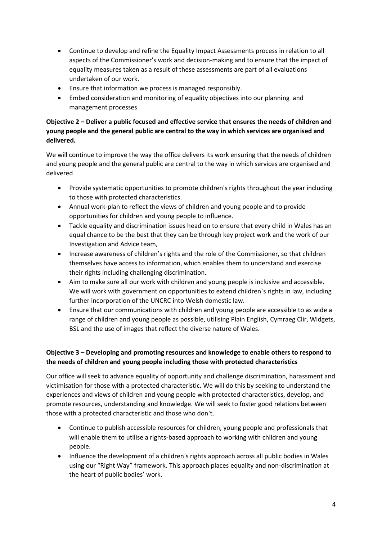- Continue to develop and refine the Equality Impact Assessments process in relation to all aspects of the Commissioner's work and decision-making and to ensure that the impact of equality measures taken as a result of these assessments are part of all evaluations undertaken of our work.
- Ensure that information we process is managed responsibly.
- Embed consideration and monitoring of equality objectives into our planning and management processes

## **Objective 2 – Deliver a public focused and effective service that ensures the needs of children and young people and the general public are central to the way in which services are organised and delivered.**

We will continue to improve the way the office delivers its work ensuring that the needs of children and young people and the general public are central to the way in which services are organised and delivered

- Provide systematic opportunities to promote children's rights throughout the year including to those with protected characteristics.
- Annual work-plan to reflect the views of children and young people and to provide opportunities for children and young people to influence.
- Tackle equality and discrimination issues head on to ensure that every child in Wales has an equal chance to be the best that they can be through key project work and the work of our Investigation and Advice team,
- Increase awareness of children's rights and the role of the Commissioner, so that children themselves have access to information, which enables them to understand and exercise their rights including challenging discrimination.
- Aim to make sure all our work with children and young people is inclusive and accessible. We will work with government on opportunities to extend children`s rights in law, including further incorporation of the UNCRC into Welsh domestic law.
- Ensure that our communications with children and young people are accessible to as wide a range of children and young people as possible, utilising Plain English, Cymraeg Clir, Widgets, BSL and the use of images that reflect the diverse nature of Wales.

## **Objective 3 – Developing and promoting resources and knowledge to enable others to respond to the needs of children and young people including those with protected characteristics**

Our office will seek to advance equality of opportunity and challenge discrimination, harassment and victimisation for those with a protected characteristic. We will do this by seeking to understand the experiences and views of children and young people with protected characteristics, develop, and promote resources, understanding and knowledge. We will seek to foster good relations between those with a protected characteristic and those who don't.

- Continue to publish accessible resources for children, young people and professionals that will enable them to utilise a rights-based approach to working with children and young people.
- Influence the development of a children's rights approach across all public bodies in Wales using our "Right Way" framework. This approach places equality and non-discrimination at the heart of public bodies' work.